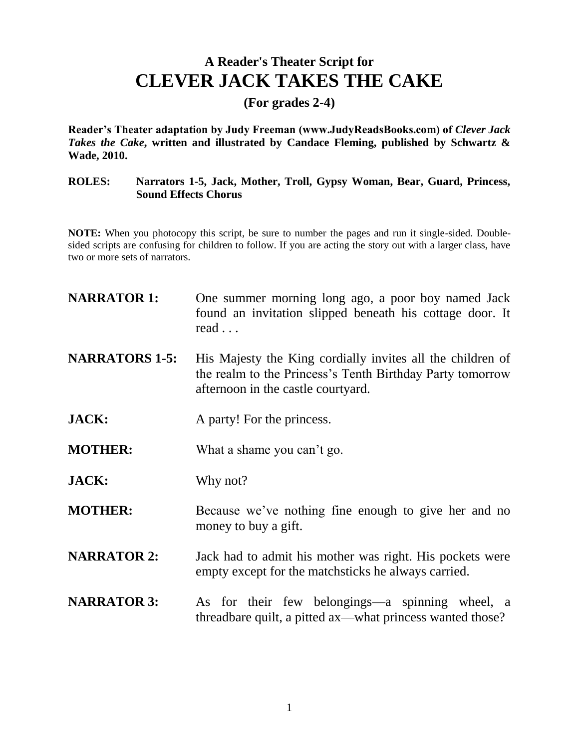## **A Reader's Theater Script for CLEVER JACK TAKES THE CAKE**

**(For grades 2-4)**

**Reader's Theater adaptation by Judy Freeman (www.JudyReadsBooks.com) of** *Clever Jack Takes the Cake***, written and illustrated by Candace Fleming, published by Schwartz & Wade, 2010.** 

## **ROLES: Narrators 1-5, Jack, Mother, Troll, Gypsy Woman, Bear, Guard, Princess, Sound Effects Chorus**

**NOTE:** When you photocopy this script, be sure to number the pages and run it single-sided. Doublesided scripts are confusing for children to follow. If you are acting the story out with a larger class, have two or more sets of narrators.

| <b>NARRATOR 1:</b>    | One summer morning long ago, a poor boy named Jack<br>found an invitation slipped beneath his cottage door. It<br>$read \dots$                                |
|-----------------------|---------------------------------------------------------------------------------------------------------------------------------------------------------------|
| <b>NARRATORS 1-5:</b> | His Majesty the King cordially invites all the children of<br>the realm to the Princess's Tenth Birthday Party tomorrow<br>afternoon in the castle courtyard. |
| <b>JACK:</b>          | A party! For the princess.                                                                                                                                    |
| <b>MOTHER:</b>        | What a shame you can't go.                                                                                                                                    |
| <b>JACK:</b>          | Why not?                                                                                                                                                      |
| <b>MOTHER:</b>        | Because we've nothing fine enough to give her and no<br>money to buy a gift.                                                                                  |
| <b>NARRATOR 2:</b>    | Jack had to admit his mother was right. His pockets were<br>empty except for the match sticks he always carried.                                              |
| <b>NARRATOR 3:</b>    | As for their few belongings—a spinning wheel, a<br>threadbare quilt, a pitted ax—what princess wanted those?                                                  |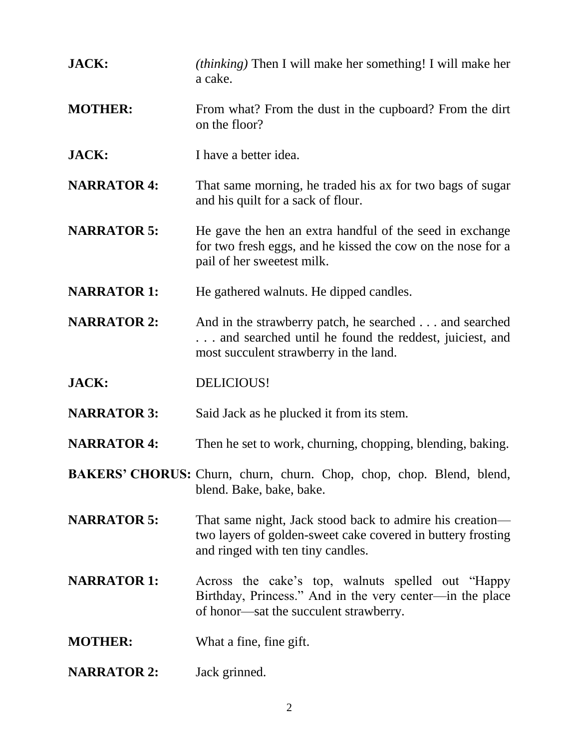| <b>JACK:</b>       | <i>(thinking)</i> Then I will make her something! I will make her<br>a cake.                                                                              |
|--------------------|-----------------------------------------------------------------------------------------------------------------------------------------------------------|
| <b>MOTHER:</b>     | From what? From the dust in the cupboard? From the dirt<br>on the floor?                                                                                  |
| JACK:              | I have a better idea.                                                                                                                                     |
| <b>NARRATOR 4:</b> | That same morning, he traded his ax for two bags of sugar<br>and his quilt for a sack of flour.                                                           |
| <b>NARRATOR 5:</b> | He gave the hen an extra handful of the seed in exchange<br>for two fresh eggs, and he kissed the cow on the nose for a<br>pail of her sweetest milk.     |
| <b>NARRATOR 1:</b> | He gathered walnuts. He dipped candles.                                                                                                                   |
| <b>NARRATOR 2:</b> | And in the strawberry patch, he searched and searched<br>and searched until he found the reddest, juiciest, and<br>most succulent strawberry in the land. |
| JACK:              | DELICIOUS!                                                                                                                                                |
| <b>NARRATOR 3:</b> | Said Jack as he plucked it from its stem.                                                                                                                 |
| <b>NARRATOR 4:</b> | Then he set to work, churning, chopping, blending, baking.                                                                                                |
|                    | BAKERS' CHORUS: Churn, churn, churn. Chop, chop, chop. Blend, blend,<br>blend. Bake, bake, bake.                                                          |
| <b>NARRATOR 5:</b> | That same night, Jack stood back to admire his creation—<br>two layers of golden-sweet cake covered in buttery frosting                                   |
|                    | and ringed with ten tiny candles.                                                                                                                         |
| <b>NARRATOR 1:</b> | Across the cake's top, walnuts spelled out "Happy"<br>Birthday, Princess." And in the very center—in the place<br>of honor—sat the succulent strawberry.  |
| <b>MOTHER:</b>     | What a fine, fine gift.                                                                                                                                   |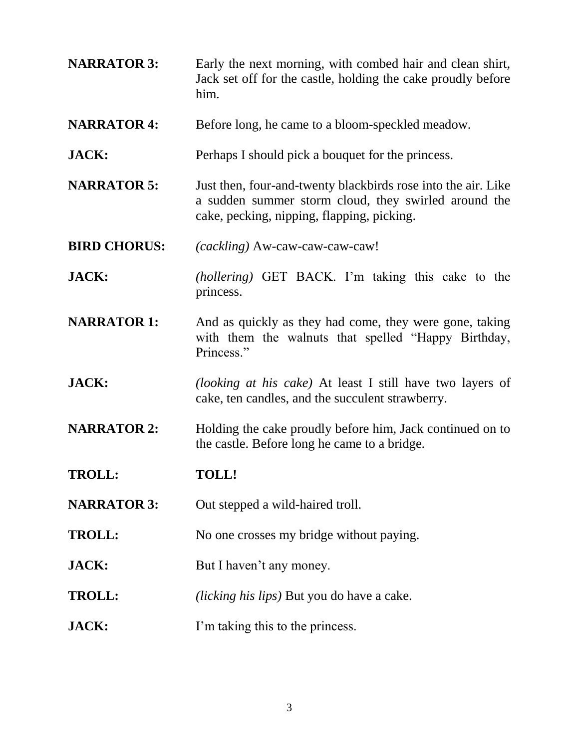**NARRATOR 3:** Early the next morning, with combed hair and clean shirt, Jack set off for the castle, holding the cake proudly before him. **NARRATOR 4:** Before long, he came to a bloom-speckled meadow. **JACK:** Perhaps I should pick a bouquet for the princess. **NARRATOR 5:** Just then, four-and-twenty blackbirds rose into the air. Like a sudden summer storm cloud, they swirled around the cake, pecking, nipping, flapping, picking. **BIRD CHORUS:** *(cackling)* Aw-caw-caw-caw-caw! **JACK:** *(hollering)* GET BACK. I'm taking this cake to the princess. **NARRATOR 1:** And as quickly as they had come, they were gone, taking with them the walnuts that spelled "Happy Birthday, Princess." **JACK:** *(looking at his cake)* At least I still have two layers of cake, ten candles, and the succulent strawberry. **NARRATOR 2:** Holding the cake proudly before him, Jack continued on to the castle. Before long he came to a bridge. **TROLL: TOLL! NARRATOR 3:** Out stepped a wild-haired troll. **TROLL:** No one crosses my bridge without paying. **JACK:** But I haven't any money. **TROLL:** *(licking his lips)* But you do have a cake. **JACK:** I'm taking this to the princess.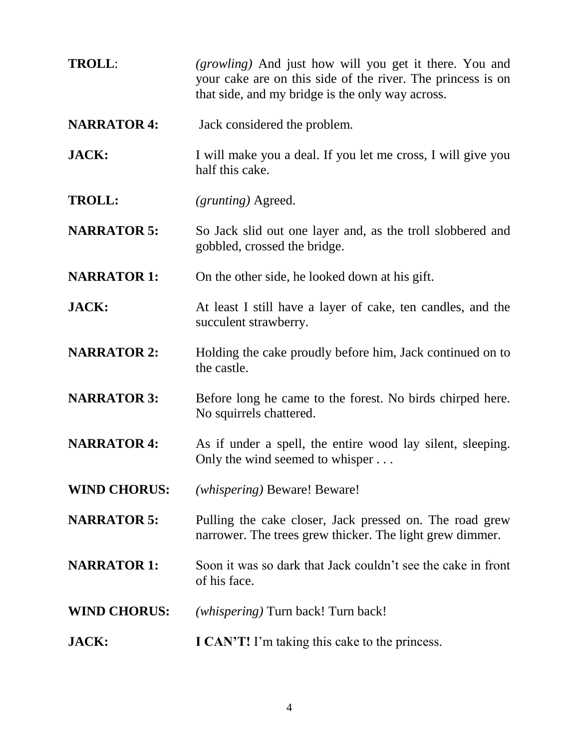| <b>TROLL:</b>       | <i>(growling)</i> And just how will you get it there. You and<br>your cake are on this side of the river. The princess is on<br>that side, and my bridge is the only way across. |
|---------------------|----------------------------------------------------------------------------------------------------------------------------------------------------------------------------------|
| <b>NARRATOR 4:</b>  | Jack considered the problem.                                                                                                                                                     |
| <b>JACK:</b>        | I will make you a deal. If you let me cross, I will give you<br>half this cake.                                                                                                  |
| <b>TROLL:</b>       | <i>(grunting)</i> Agreed.                                                                                                                                                        |
| <b>NARRATOR 5:</b>  | So Jack slid out one layer and, as the troll slobbered and<br>gobbled, crossed the bridge.                                                                                       |
| <b>NARRATOR 1:</b>  | On the other side, he looked down at his gift.                                                                                                                                   |
| <b>JACK:</b>        | At least I still have a layer of cake, ten candles, and the<br>succulent strawberry.                                                                                             |
| <b>NARRATOR 2:</b>  | Holding the cake proudly before him, Jack continued on to<br>the castle.                                                                                                         |
| <b>NARRATOR 3:</b>  | Before long he came to the forest. No birds chirped here.<br>No squirrels chattered.                                                                                             |
| <b>NARRATOR 4:</b>  | As if under a spell, the entire wood lay silent, sleeping.<br>Only the wind seemed to whisper                                                                                    |
| <b>WIND CHORUS:</b> | (whispering) Beware! Beware!                                                                                                                                                     |
| <b>NARRATOR 5:</b>  | Pulling the cake closer, Jack pressed on. The road grew<br>narrower. The trees grew thicker. The light grew dimmer.                                                              |
| <b>NARRATOR 1:</b>  | Soon it was so dark that Jack couldn't see the cake in front<br>of his face.                                                                                                     |
| <b>WIND CHORUS:</b> | (whispering) Turn back! Turn back!                                                                                                                                               |
| <b>JACK:</b>        | <b>I CAN'T!</b> I'm taking this cake to the princess.                                                                                                                            |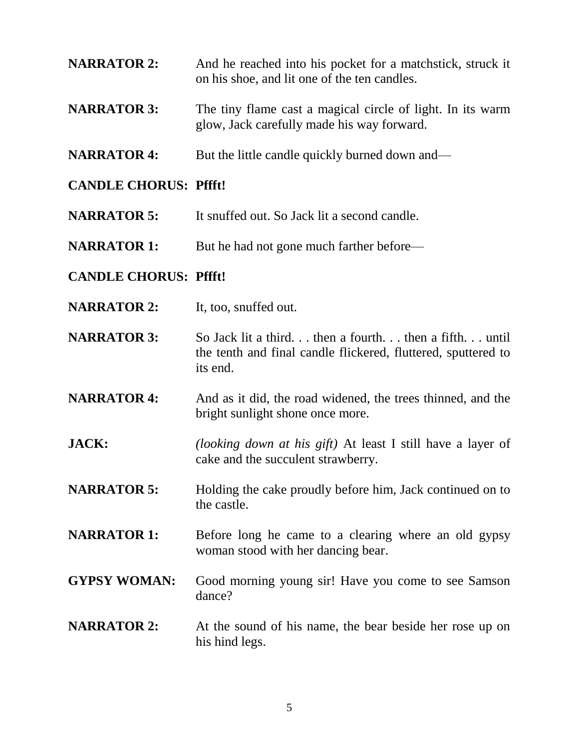- **NARRATOR 2:** And he reached into his pocket for a matchstick, struck it on his shoe, and lit one of the ten candles.
- **NARRATOR 3:** The tiny flame cast a magical circle of light. In its warm glow, Jack carefully made his way forward.
- **NARRATOR 4:** But the little candle quickly burned down and—

## **CANDLE CHORUS: Pffft!**

- **NARRATOR 5:** It snuffed out. So Jack lit a second candle.
- **NARRATOR 1:** But he had not gone much farther before—

## **CANDLE CHORUS: Pffft!**

- **NARRATOR 2:** It, too, snuffed out.
- **NARRATOR 3:** So Jack lit a third... then a fourth... then a fifth... until the tenth and final candle flickered, fluttered, sputtered to its end.
- **NARRATOR 4:** And as it did, the road widened, the trees thinned, and the bright sunlight shone once more.
- **JACK:** *(looking down at his gift)* At least I still have a layer of cake and the succulent strawberry.
- **NARRATOR 5:** Holding the cake proudly before him, Jack continued on to the castle.
- **NARRATOR 1:** Before long he came to a clearing where an old gypsy woman stood with her dancing bear.
- **GYPSY WOMAN:** Good morning young sir! Have you come to see Samson dance?
- **NARRATOR 2:** At the sound of his name, the bear beside her rose up on his hind legs.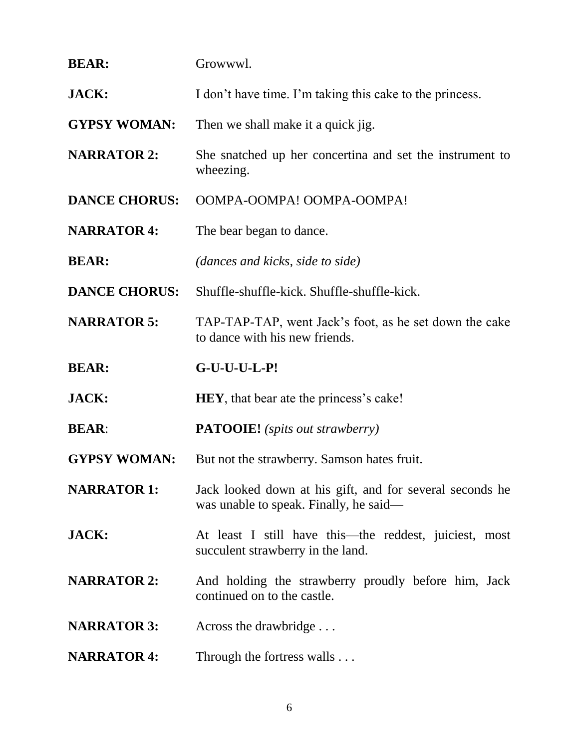| <b>BEAR:</b>         | Growwwl.                                                                                           |
|----------------------|----------------------------------------------------------------------------------------------------|
| <b>JACK:</b>         | I don't have time. I'm taking this cake to the princess.                                           |
| <b>GYPSY WOMAN:</b>  | Then we shall make it a quick jig.                                                                 |
| <b>NARRATOR 2:</b>   | She snatched up her concertina and set the instrument to<br>wheezing.                              |
| <b>DANCE CHORUS:</b> | OOMPA-OOMPA! OOMPA-OOMPA!                                                                          |
| <b>NARRATOR 4:</b>   | The bear began to dance.                                                                           |
| <b>BEAR:</b>         | <i>(dances and kicks, side to side)</i>                                                            |
| <b>DANCE CHORUS:</b> | Shuffle-shuffle-kick. Shuffle-shuffle-kick.                                                        |
| <b>NARRATOR 5:</b>   | TAP-TAP-TAP, went Jack's foot, as he set down the cake<br>to dance with his new friends.           |
|                      |                                                                                                    |
| <b>BEAR:</b>         | $G-U-U-U-L-P!$                                                                                     |
| <b>JACK:</b>         | <b>HEY</b> , that bear ate the princess's cake!                                                    |
| <b>BEAR:</b>         | <b>PATOOIE!</b> (spits out strawberry)                                                             |
| <b>GYPSY WOMAN:</b>  | But not the strawberry. Samson hates fruit.                                                        |
| <b>NARRATOR 1:</b>   | Jack looked down at his gift, and for several seconds he<br>was unable to speak. Finally, he said- |
| <b>JACK:</b>         | At least I still have this—the reddest, juiciest, most<br>succulent strawberry in the land.        |
| <b>NARRATOR 2:</b>   | And holding the strawberry proudly before him, Jack<br>continued on to the castle.                 |
| <b>NARRATOR 3:</b>   | Across the drawbridge                                                                              |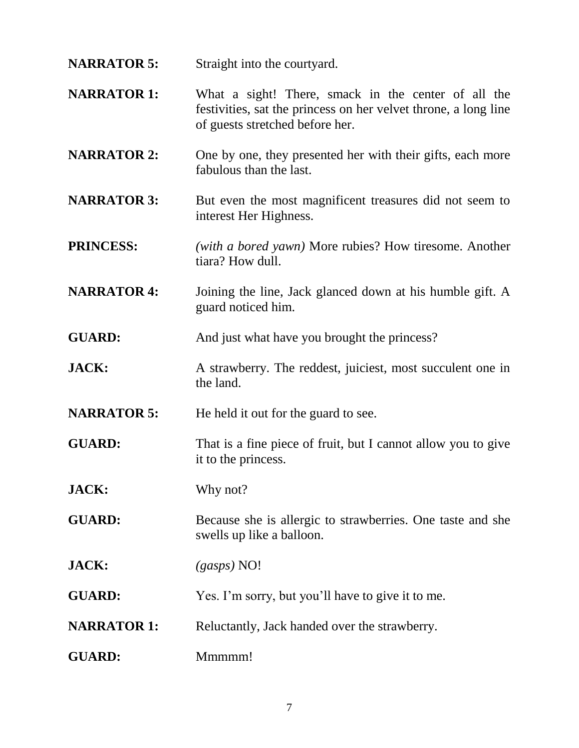**NARRATOR 5:** Straight into the courtyard.

- **NARRATOR 1:** What a sight! There, smack in the center of all the festivities, sat the princess on her velvet throne, a long line of guests stretched before her.
- **NARRATOR 2:** One by one, they presented her with their gifts, each more fabulous than the last.
- **NARRATOR 3:** But even the most magnificent treasures did not seem to interest Her Highness.
- **PRINCESS:** *(with a bored yawn)* More rubies? How tiresome. Another tiara? How dull.
- **NARRATOR 4:** Joining the line, Jack glanced down at his humble gift. A guard noticed him.
- **GUARD:** And just what have you brought the princess?
- **JACK:** A strawberry. The reddest, juiciest, most succulent one in the land.
- **NARRATOR 5:** He held it out for the guard to see.
- **GUARD:** That is a fine piece of fruit, but I cannot allow you to give it to the princess.
- **JACK:** Why not?
- **GUARD:** Because she is allergic to strawberries. One taste and she swells up like a balloon.
- **JACK:** *(gasps)* NO!
- **GUARD:** Yes. I'm sorry, but you'll have to give it to me.
- **NARRATOR 1:** Reluctantly, Jack handed over the strawberry.
- GUARD: Mmmmm!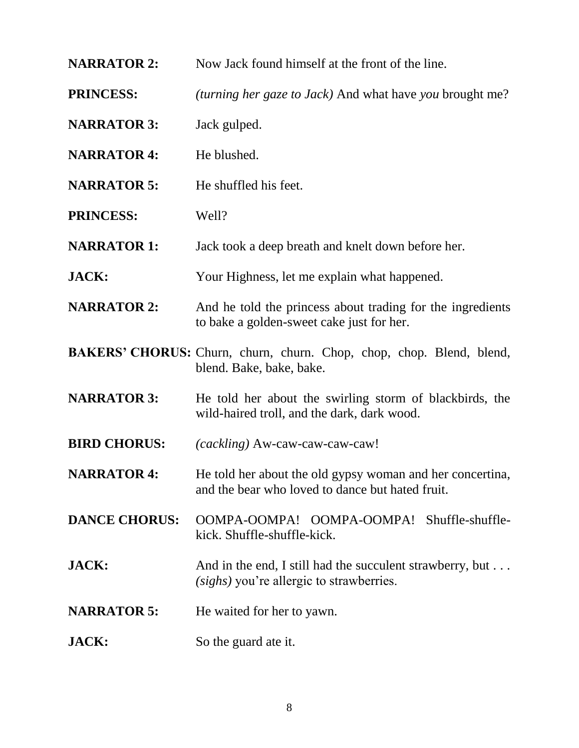- **NARRATOR 2:** Now Jack found himself at the front of the line.
- **PRINCESS:** *(turning her gaze to Jack)* And what have *you* brought me?
- **NARRATOR 3:** Jack gulped.
- **NARRATOR 4:** He blushed.
- **NARRATOR 5:** He shuffled his feet.
- **PRINCESS:** Well?
- **NARRATOR 1:** Jack took a deep breath and knelt down before her.
- **JACK:** Your Highness, let me explain what happened.
- **NARRATOR 2:** And he told the princess about trading for the ingredients to bake a golden-sweet cake just for her.
- **BAKERS' CHORUS:** Churn, churn, churn. Chop, chop, chop. Blend, blend, blend. Bake, bake, bake.
- **NARRATOR 3:** He told her about the swirling storm of blackbirds, the wild-haired troll, and the dark, dark wood.
- **BIRD CHORUS:** *(cackling)* Aw-caw-caw-caw-caw!
- **NARRATOR 4:** He told her about the old gypsy woman and her concertina, and the bear who loved to dance but hated fruit.
- **DANCE CHORUS:** OOMPA-OOMPA! OOMPA-OOMPA! Shuffle-shufflekick. Shuffle-shuffle-kick.
- **JACK:** And in the end, I still had the succulent strawberry, but . . . *(sighs)* you're allergic to strawberries.
- **NARRATOR 5:** He waited for her to yawn.
- **JACK:** So the guard ate it.